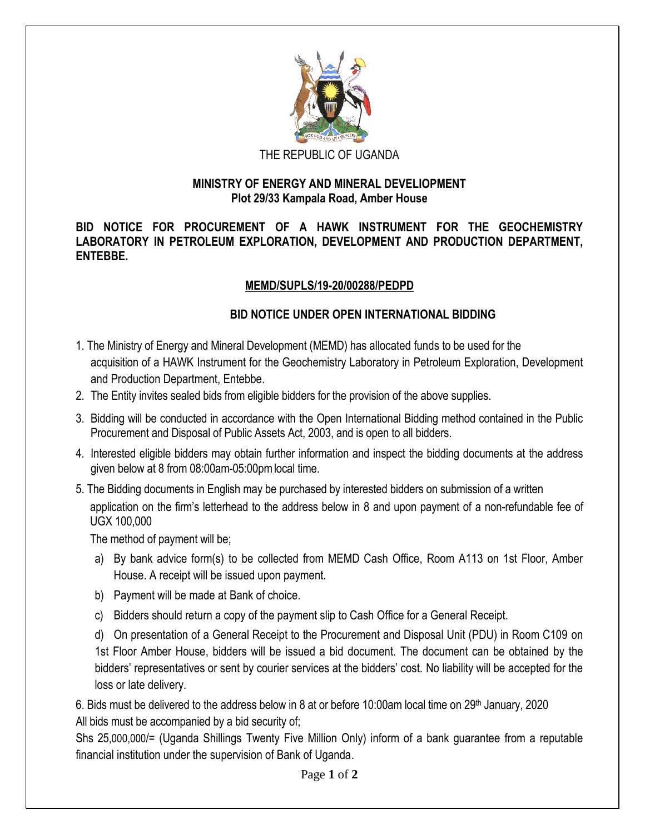

## THE REPUBLIC OF UGANDA

## **MINISTRY OF ENERGY AND MINERAL DEVELIOPMENT Plot 29/33 Kampala Road, Amber House**

**BID NOTICE FOR PROCUREMENT OF A HAWK INSTRUMENT FOR THE GEOCHEMISTRY LABORATORY IN PETROLEUM EXPLORATION, DEVELOPMENT AND PRODUCTION DEPARTMENT, ENTEBBE.**

## **MEMD/SUPLS/19-20/00288/PEDPD**

## **BID NOTICE UNDER OPEN INTERNATIONAL BIDDING**

- 1. The Ministry of Energy and Mineral Development (MEMD) has allocated funds to be used for the acquisition of a HAWK Instrument for the Geochemistry Laboratory in Petroleum Exploration, Development and Production Department, Entebbe.
- 2. The Entity invites sealed bids from eligible bidders for the provision of the above supplies.
- 3. Bidding will be conducted in accordance with the Open International Bidding method contained in the Public Procurement and Disposal of Public Assets Act, 2003, and is open to all bidders.
- 4. Interested eligible bidders may obtain further information and inspect the bidding documents at the address given below at 8 from 08:00am-05:00pmlocal time.
- 5. The Bidding documents in English may be purchased by interested bidders on submission of a written application on the firm's letterhead to the address below in 8 and upon payment of a non-refundable fee of UGX 100,000

The method of payment will be;

- a) By bank advice form(s) to be collected from MEMD Cash Office, Room A113 on 1st Floor, Amber House. A receipt will be issued upon payment.
- b) Payment will be made at Bank of choice.
- c) Bidders should return a copy of the payment slip to Cash Office for a General Receipt.

d) On presentation of a General Receipt to the Procurement and Disposal Unit (PDU) in Room C109 on 1st Floor Amber House, bidders will be issued a bid document. The document can be obtained by the bidders' representatives or sent by courier services at the bidders' cost. No liability will be accepted for the loss or late delivery.

6. Bids must be delivered to the address below in 8 at or before 10:00am local time on 29<sup>th</sup> January, 2020 All bids must be accompanied by a bid security of;

Shs 25,000,000/= (Uganda Shillings Twenty Five Million Only) inform of a bank guarantee from a reputable financial institution under the supervision of Bank of Uganda.

Page **1** of **2**